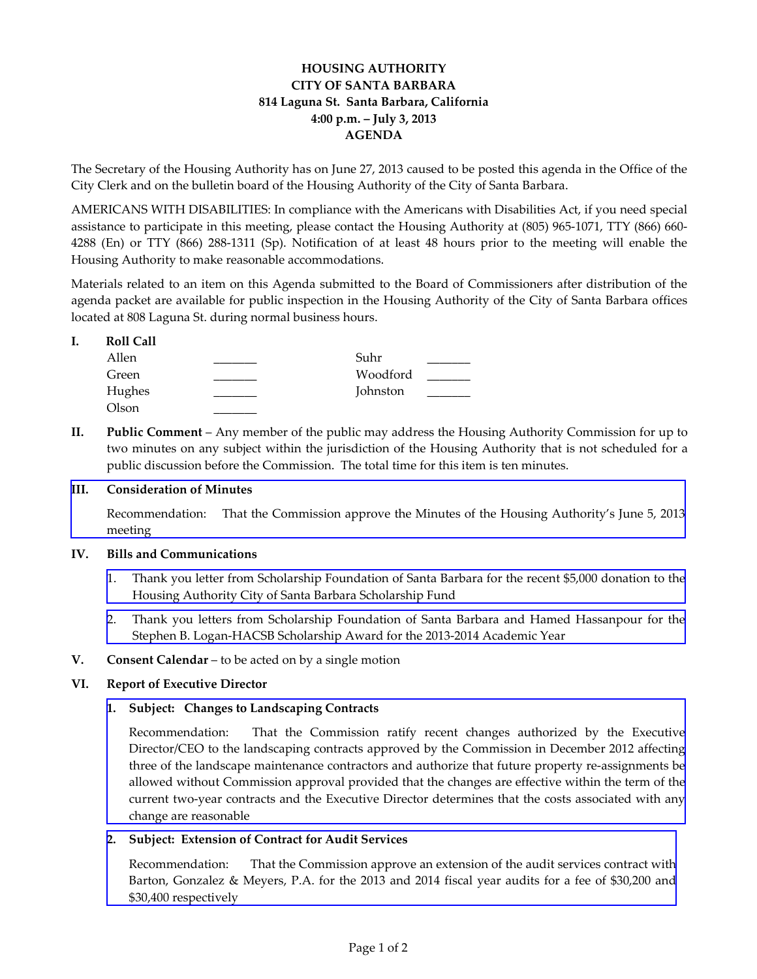# **HOUSING AUTHORITY CITY OF SANTA BARBARA 814 Laguna St. Santa Barbara, California 4:00 p.m. – July 3, 2013 AGENDA**

The Secretary of the Housing Authority has on June 27, 2013 caused to be posted this agenda in the Office of the City Clerk and on the bulletin board of the Housing Authority of the City of Santa Barbara.

AMERICANS WITH DISABILITIES: In compliance with the Americans with Disabilities Act, if you need special assistance to participate in this meeting, please contact the Housing Authority at (805) 965-1071, TTY (866) 660-4288 (En) or TTY (866) 288‐1311 (Sp). Notification of at least 48 hours prior to the meeting will enable the Housing Authority to make reasonable accommodations.

Materials related to an item on this Agenda submitted to the Board of Commissioners after distribution of the agenda packet are available for public inspection in the Housing Authority of the City of Santa Barbara offices located at 808 Laguna St. during normal business hours.

| <b>Roll Call</b> |          |  |
|------------------|----------|--|
| Allen            | Suhr     |  |
| Green            | Woodford |  |
| Hughes           | Johnston |  |
| Olson            |          |  |

**II. Public Comment** – Any member of the public may address the Housing Authority Commission for up to two minutes on any subject within the jurisdiction of the Housing Authority that is not scheduled for a public discussion before the Commission. The total time for this item is ten minutes.

## **III. Consideration of Minutes**

[Recommendation:](http://www.hacsb.org/Library/agendas_minutes/2013/agenda_packet/Agenda_Packet_2013_07_03/item_III_I_2013_07_03.pdf) That the Commission approve the Minutes of the Housing Authority's June 5, 2013 meeting

### **IV. Bills and Communications**

- 1. Thank you letter from Scholarship Foundation of Santa Barbara for the recent \$5,000 donation to the Housing Authority City of Santa Barbara [Scholarship](http://www.hacsb.org/Library/agendas_minutes/2013/agenda_packet/Agenda_Packet_2013_07_03/item_IV_I_2013_07_03.pdf) Fund
- 2. Thank you letters from Scholarship Foundation of Santa Barbara and Hamed [Hassanpour](http://www.hacsb.org/Library/agendas_minutes/2013/agenda_packet/Agenda_Packet_2013_07_03/item_IV_II_2013_07_03.pdf) for the Stephen B. Logan‐HACSB Scholarship Award for the 2013‐2014 Academic Year
- **V. Consent Calendar** to be acted on by a single motion

## **VI. Report of Executive Director**

## **1. Subject: Changes to Landscaping Contracts**

[Recommendation:](http://www.hacsb.org/Library/agendas_minutes/2013/agenda_packet/Agenda_Packet_2013_07_03/item_VI_I_2013_07_03.pdf) That the Commission ratify recent changes authorized by the Executive Director/CEO to the landscaping contracts approved by the Commission in December 2012 affecting three of the landscape maintenance contractors and authorize that future property re‐assignments be allowed without Commission approval provided that the changes are effective within the term of the current two-year contracts and the Executive Director determines that the costs associated with any change are reasonable

## **2. Subject: Extension of Contract for Audit Services**

[Recommendation:](http://www.hacsb.org/Library/agendas_minutes/2013/agenda_packet/Agenda_Packet_2013_07_03/item_VI_II_2013_07_03.pdf) That the Commission approve an extension of the audit services contract with Barton, Gonzalez & Meyers, P.A. for the 2013 and 2014 fiscal year audits for a fee of \$30,200 and \$30,400 respectively